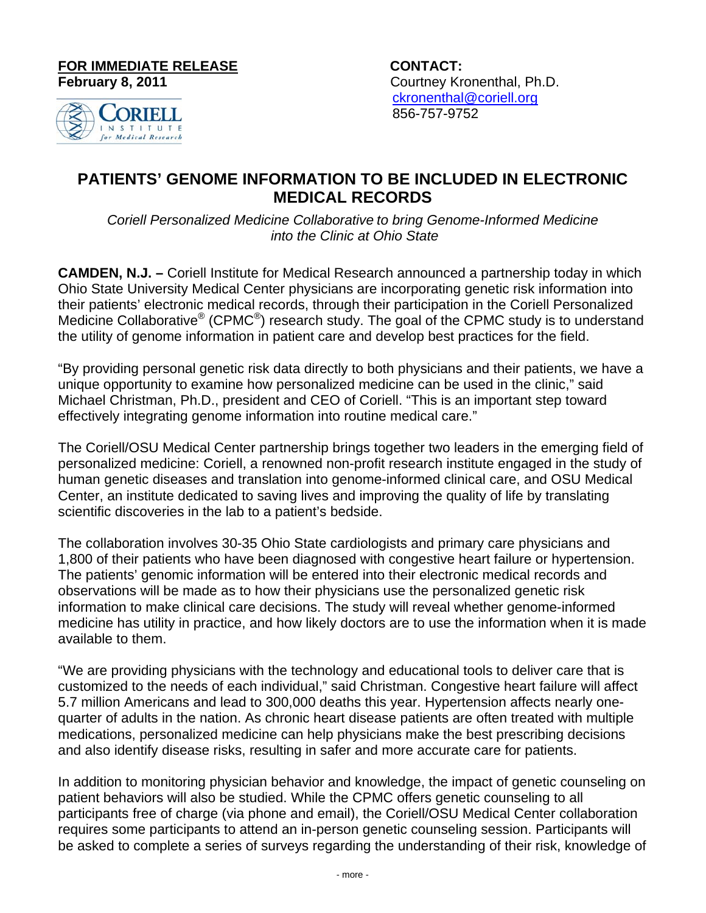**FOR IMMEDIATE RELEASE CONTACT:**

**February 8, 2011 Courtney Kronenthal, Ph.D.**  ckronenthal@coriell.org 856-757-9752



## **PATIENTS' GENOME INFORMATION TO BE INCLUDED IN ELECTRONIC MEDICAL RECORDS**

*Coriell Personalized Medicine Collaborative to bring Genome-Informed Medicine into the Clinic at Ohio State* 

**CAMDEN, N.J. –** Coriell Institute for Medical Research announced a partnership today in which Ohio State University Medical Center physicians are incorporating genetic risk information into their patients' electronic medical records, through their participation in the Coriell Personalized Medicine Collaborative<sup>®</sup> (CPMC<sup>®</sup>) research study. The goal of the CPMC study is to understand the utility of genome information in patient care and develop best practices for the field.

"By providing personal genetic risk data directly to both physicians and their patients, we have a unique opportunity to examine how personalized medicine can be used in the clinic," said Michael Christman, Ph.D., president and CEO of Coriell. "This is an important step toward effectively integrating genome information into routine medical care."

The Coriell/OSU Medical Center partnership brings together two leaders in the emerging field of personalized medicine: Coriell, a renowned non-profit research institute engaged in the study of human genetic diseases and translation into genome-informed clinical care, and OSU Medical Center, an institute dedicated to saving lives and improving the quality of life by translating scientific discoveries in the lab to a patient's bedside.

The collaboration involves 30-35 Ohio State cardiologists and primary care physicians and 1,800 of their patients who have been diagnosed with congestive heart failure or hypertension. The patients' genomic information will be entered into their electronic medical records and observations will be made as to how their physicians use the personalized genetic risk information to make clinical care decisions. The study will reveal whether genome-informed medicine has utility in practice, and how likely doctors are to use the information when it is made available to them.

"We are providing physicians with the technology and educational tools to deliver care that is customized to the needs of each individual," said Christman. Congestive heart failure will affect 5.7 million Americans and lead to 300,000 deaths this year. Hypertension affects nearly onequarter of adults in the nation. As chronic heart disease patients are often treated with multiple medications, personalized medicine can help physicians make the best prescribing decisions and also identify disease risks, resulting in safer and more accurate care for patients.

In addition to monitoring physician behavior and knowledge, the impact of genetic counseling on patient behaviors will also be studied. While the CPMC offers genetic counseling to all participants free of charge (via phone and email), the Coriell/OSU Medical Center collaboration requires some participants to attend an in-person genetic counseling session. Participants will be asked to complete a series of surveys regarding the understanding of their risk, knowledge of